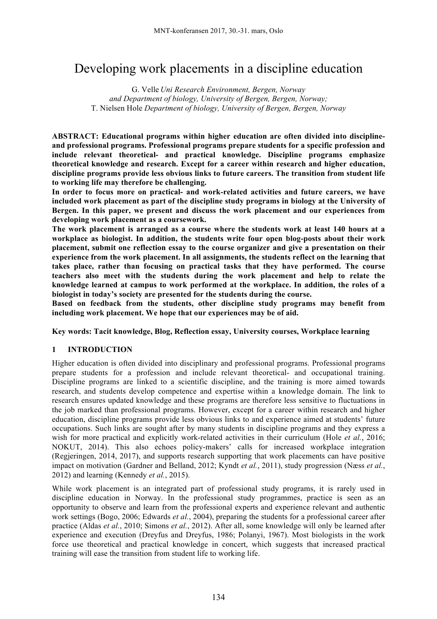# Developing work placements in a discipline education

G. Velle *Uni Research Environment, Bergen, Norway and Department of biology, University of Bergen, Bergen, Norway;*  T. Nielsen Hole *Department of biology, University of Bergen, Bergen, Norway*

**ABSTRACT: Educational programs within higher education are often divided into disciplineand professional programs. Professional programs prepare students for a specific profession and include relevant theoretical- and practical knowledge. Discipline programs emphasize theoretical knowledge and research. Except for a career within research and higher education, discipline programs provide less obvious links to future careers. The transition from student life to working life may therefore be challenging.** 

**In order to focus more on practical- and work-related activities and future careers, we have included work placement as part of the discipline study programs in biology at the University of Bergen. In this paper, we present and discuss the work placement and our experiences from developing work placement as a coursework.**

**The work placement is arranged as a course where the students work at least 140 hours at a workplace as biologist. In addition, the students write four open blog-posts about their work placement, submit one reflection essay to the course organizer and give a presentation on their experience from the work placement. In all assignments, the students reflect on the learning that takes place, rather than focusing on practical tasks that they have performed. The course teachers also meet with the students during the work placement and help to relate the knowledge learned at campus to work performed at the workplace. In addition, the roles of a biologist in today's society are presented for the students during the course.**

**Based on feedback from the students, other discipline study programs may benefit from including work placement. We hope that our experiences may be of aid.**

**Key words: Tacit knowledge, Blog, Reflection essay, University courses, Workplace learning**

# **1 INTRODUCTION**

Higher education is often divided into disciplinary and professional programs. Professional programs prepare students for a profession and include relevant theoretical- and occupational training. Discipline programs are linked to a scientific discipline, and the training is more aimed towards research, and students develop competence and expertise within a knowledge domain. The link to research ensures updated knowledge and these programs are therefore less sensitive to fluctuations in the job marked than professional programs. However, except for a career within research and higher education, discipline programs provide less obvious links to and experience aimed at students' future occupations. Such links are sought after by many students in discipline programs and they express a wish for more practical and explicitly work-related activities in their curriculum (Hole *et al.*, 2016; NOKUT, 2014). This also echoes policy-makers' calls for increased workplace integration (Regjeringen, 2014, 2017), and supports research supporting that work placements can have positive impact on motivation (Gardner and Belland, 2012; Kyndt *et al.*, 2011), study progression (Næss *et al.*, 2012) and learning (Kennedy *et al.*, 2015).

While work placement is an integrated part of professional study programs, it is rarely used in discipline education in Norway. In the professional study programmes, practice is seen as an opportunity to observe and learn from the professional experts and experience relevant and authentic work settings (Bogo, 2006; Edwards *et al.*, 2004), preparing the students for a professional career after practice (Aldas *et al.*, 2010; Simons *et al.*, 2012). After all, some knowledge will only be learned after experience and execution (Dreyfus and Dreyfus, 1986; Polanyi, 1967). Most biologists in the work force use theoretical and practical knowledge in concert, which suggests that increased practical training will ease the transition from student life to working life.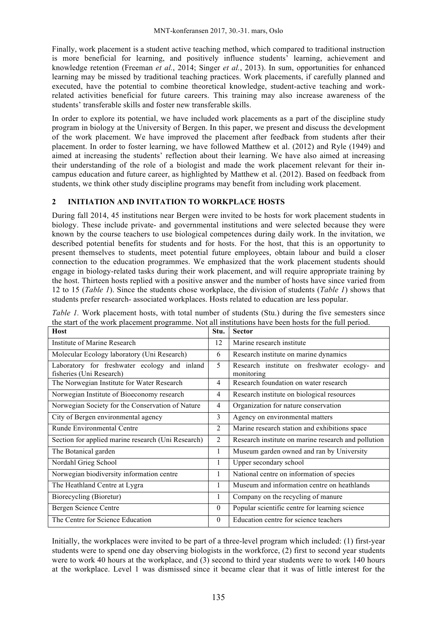Finally, work placement is a student active teaching method, which compared to traditional instruction is more beneficial for learning, and positively influence students' learning, achievement and knowledge retention (Freeman *et al.*, 2014; Singer *et al.*, 2013). In sum, opportunities for enhanced learning may be missed by traditional teaching practices. Work placements, if carefully planned and executed, have the potential to combine theoretical knowledge, student-active teaching and workrelated activities beneficial for future careers. This training may also increase awareness of the students' transferable skills and foster new transferable skills.

In order to explore its potential, we have included work placements as a part of the discipline study program in biology at the University of Bergen. In this paper, we present and discuss the development of the work placement. We have improved the placement after feedback from students after their placement. In order to foster learning, we have followed Matthew et al. (2012) and Ryle (1949) and aimed at increasing the students' reflection about their learning. We have also aimed at increasing their understanding of the role of a biologist and made the work placement relevant for their incampus education and future career, as highlighted by Matthew et al. (2012). Based on feedback from students, we think other study discipline programs may benefit from including work placement.

# **2 INITIATION AND INVITATION TO WORKPLACE HOSTS**

During fall 2014, 45 institutions near Bergen were invited to be hosts for work placement students in biology. These include private- and governmental institutions and were selected because they were known by the course teachers to use biological competences during daily work. In the invitation, we described potential benefits for students and for hosts. For the host, that this is an opportunity to present themselves to students, meet potential future employees, obtain labour and build a closer connection to the education programmes. We emphasized that the work placement students should engage in biology-related tasks during their work placement, and will require appropriate training by the host. Thirteen hosts replied with a positive answer and the number of hosts have since varied from 12 to 15 (*Table 1*). Since the students chose workplace, the division of students (*Table 1*) shows that students prefer research- associated workplaces. Hosts related to education are less popular.

| <b>Host</b>                                                              | Stu.         | <b>Sector</b>                                               |  |
|--------------------------------------------------------------------------|--------------|-------------------------------------------------------------|--|
| Institute of Marine Research                                             | 12           | Marine research institute                                   |  |
| Molecular Ecology laboratory (Uni Research)                              | 6            | Research institute on marine dynamics                       |  |
| Laboratory for freshwater ecology and inland<br>fisheries (Uni Research) | 5            | Research institute on freshwater ecology- and<br>monitoring |  |
| The Norwegian Institute for Water Research                               | 4            | Research foundation on water research                       |  |
| Norwegian Institute of Bioeconomy research                               | 4            | Research institute on biological resources                  |  |
| Norwegian Society for the Conservation of Nature                         | 4            | Organization for nature conservation                        |  |
| City of Bergen environmental agency                                      | 3            | Agency on environmental matters                             |  |
| Runde Environmental Centre                                               | 2            | Marine research station and exhibitions space               |  |
| Section for applied marine research (Uni Research)                       | 2            | Research institute on marine research and pollution         |  |
| The Botanical garden                                                     | 1            | Museum garden owned and ran by University                   |  |
| Nordahl Grieg School                                                     | 1            | Upper secondary school                                      |  |
| Norwegian biodiversity information centre                                | 1            | National centre on information of species                   |  |
| The Heathland Centre at Lygra                                            | 1            | Museum and information centre on heathlands                 |  |
| Biorecycling (Bioretur)                                                  | 1            | Company on the recycling of manure                          |  |
| Bergen Science Centre                                                    | $\mathbf{0}$ | Popular scientific centre for learning science              |  |
| The Centre for Science Education                                         | $\theta$     | Education centre for science teachers                       |  |

*Table 1.* Work placement hosts, with total number of students (Stu.) during the five semesters since the start of the work placement programme. Not all institutions have been hosts for the full period.

Initially, the workplaces were invited to be part of a three-level program which included: (1) first-year students were to spend one day observing biologists in the workforce, (2) first to second year students were to work 40 hours at the workplace, and (3) second to third year students were to work 140 hours at the workplace. Level 1 was dismissed since it became clear that it was of little interest for the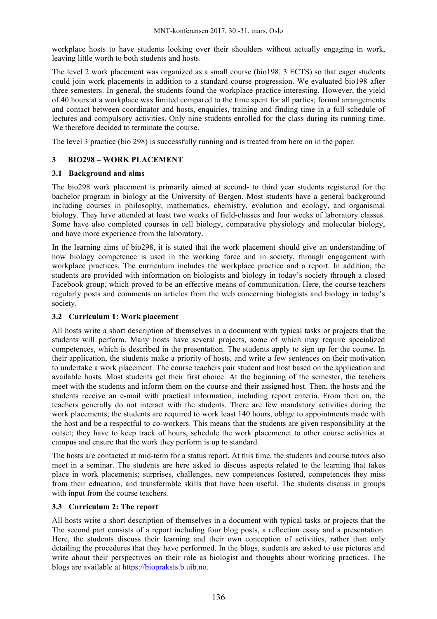workplace hosts to have students looking over their shoulders without actually engaging in work, leaving little worth to both students and hosts.

The level 2 work placement was organized as a small course (bio198, 3 ECTS) so that eager students could join work placements in addition to a standard course progression. We evaluated bio198 after three semesters. In general, the students found the workplace practice interesting. However, the yield of 40 hours at a workplace was limited compared to the time spent for all parties; formal arrangements and contact between coordinator and hosts, enquiries, training and finding time in a full schedule of lectures and compulsory activities. Only nine students enrolled for the class during its running time. We therefore decided to terminate the course.

The level 3 practice (bio 298) is successfully running and is treated from here on in the paper.

# **3 BIO298 – WORK PLACEMENT**

#### **3.1 Background and aims**

The bio298 work placement is primarily aimed at second- to third year students registered for the bachelor program in biology at the University of Bergen. Most students have a general background including courses in philosophy, mathematics, chemistry, evolution and ecology, and organismal biology. They have attended at least two weeks of field-classes and four weeks of laboratory classes. Some have also completed courses in cell biology, comparative physiology and molecular biology, and have more experience from the laboratory.

In the learning aims of bio298, it is stated that the work placement should give an understanding of how biology competence is used in the working force and in society, through engagement with workplace practices. The curriculum includes the workplace practice and a report. In addition, the students are provided with information on biologists and biology in today's society through a closed Facebook group, which proved to be an effective means of communication. Here, the course teachers regularly posts and comments on articles from the web concerning biologists and biology in today's society.

# **3.2 Curriculum 1: Work placement**

All hosts write a short description of themselves in a document with typical tasks or projects that the students will perform. Many hosts have several projects, some of which may require specialized competences, which is described in the presentation. The students apply to sign up for the course. In their application, the students make a priority of hosts, and write a few sentences on their motivation to undertake a work placement. The course teachers pair student and host based on the application and available hosts. Most students get their first choice. At the beginning of the semester, the teachers meet with the students and inform them on the course and their assigned host. Then, the hosts and the students receive an e-mail with practical information, including report criteria. From then on, the teachers generally do not interact with the students. There are few mandatory activities during the work placements; the students are required to work least 140 hours, oblige to appointments made with the host and be a respectful to co-workers. This means that the students are given responsibility at the outset; they have to keep track of hours, schedule the work placemenet to other course activities at campus and ensure that the work they perform is up to standard.

The hosts are contacted at mid-term for a status report. At this time, the students and course tutors also meet in a seminar. The students are here asked to discuss aspects related to the learning that takes place in work placements; surprises, challenges, new competences fostered, competences they miss from their education, and transferrable skills that have been useful. The students discuss in groups with input from the course teachers.

# **3.3 Curriculum 2: The report**

All hosts write a short description of themselves in a document with typical tasks or projects that the The second part consists of a report including four blog posts, a reflection essay and a presentation. Here, the students discuss their learning and their own conception of activities, rather than only detailing the procedures that they have performed. In the blogs, students are asked to use pictures and write about their perspectives on their role as biologist and thoughts about working practices. The blogs are available at https://biopraksis.b.uib.no.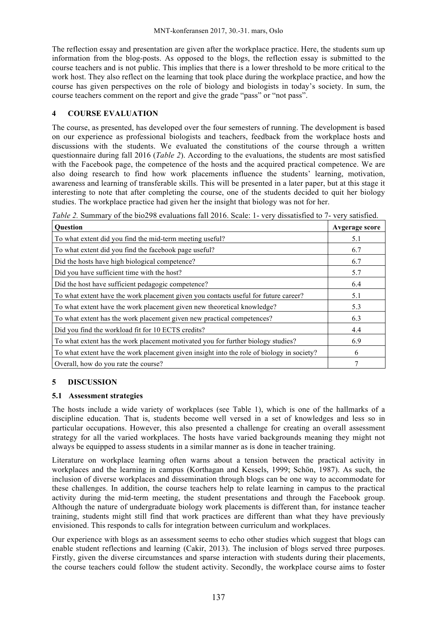The reflection essay and presentation are given after the workplace practice. Here, the students sum up information from the blog-posts. As opposed to the blogs, the reflection essay is submitted to the course teachers and is not public. This implies that there is a lower threshold to be more critical to the work host. They also reflect on the learning that took place during the workplace practice, and how the course has given perspectives on the role of biology and biologists in today's society. In sum, the course teachers comment on the report and give the grade "pass" or "not pass".

### **4 COURSE EVALUATION**

The course, as presented, has developed over the four semesters of running. The development is based on our experience as professional biologists and teachers, feedback from the workplace hosts and discussions with the students. We evaluated the constitutions of the course through a written questionnaire during fall 2016 (*Table 2*). According to the evaluations, the students are most satisfied with the Facebook page, the competence of the hosts and the acquired practical competence. We are also doing research to find how work placements influence the students' learning, motivation, awareness and learning of transferable skills. This will be presented in a later paper, but at this stage it interesting to note that after completing the course, one of the students decided to quit her biology studies. The workplace practice had given her the insight that biology was not for her.

| <b>Ouestion</b>                                                                           | <b>Avgerage score</b> |
|-------------------------------------------------------------------------------------------|-----------------------|
| To what extent did you find the mid-term meeting useful?                                  | 5.1                   |
| To what extent did you find the facebook page useful?                                     | 6.7                   |
| Did the hosts have high biological competence?                                            | 6.7                   |
| Did you have sufficient time with the host?                                               | 5.7                   |
| Did the host have sufficient pedagogic competence?                                        | 6.4                   |
| To what extent have the work placement given you contacts useful for future career?       | 5.1                   |
| To what extent have the work placement given new theoretical knowledge?                   | 5.3                   |
| To what extent has the work placement given new practical competences?                    | 6.3                   |
| Did you find the workload fit for 10 ECTS credits?                                        | 4.4                   |
| To what extent has the work placement motivated you for further biology studies?          | 6.9                   |
| To what extent have the work placement given insight into the role of biology in society? | 6                     |
| Overall, how do you rate the course?                                                      |                       |

*Table 2.* Summary of the bio298 evaluations fall 2016. Scale: 1- very dissatisfied to 7- very satisfied.

# **5 DISCUSSION**

#### **5.1 Assessment strategies**

The hosts include a wide variety of workplaces (see Table 1), which is one of the hallmarks of a discipline education. That is, students become well versed in a set of knowledges and less so in particular occupations. However, this also presented a challenge for creating an overall assessment strategy for all the varied workplaces. The hosts have varied backgrounds meaning they might not always be equipped to assess students in a similar manner as is done in teacher training.

Literature on workplace learning often warns about a tension between the practical activity in workplaces and the learning in campus (Korthagan and Kessels, 1999; Schön, 1987). As such, the inclusion of diverse workplaces and dissemination through blogs can be one way to accommodate for these challenges. In addition, the course teachers help to relate learning in campus to the practical activity during the mid-term meeting, the student presentations and through the Facebook group. Although the nature of undergraduate biology work placements is different than, for instance teacher training, students might still find that work practices are different than what they have previously envisioned. This responds to calls for integration between curriculum and workplaces.

Our experience with blogs as an assessment seems to echo other studies which suggest that blogs can enable student reflections and learning (Cakir, 2013). The inclusion of blogs served three purposes. Firstly, given the diverse circumstances and sparse interaction with students during their placements, the course teachers could follow the student activity. Secondly, the workplace course aims to foster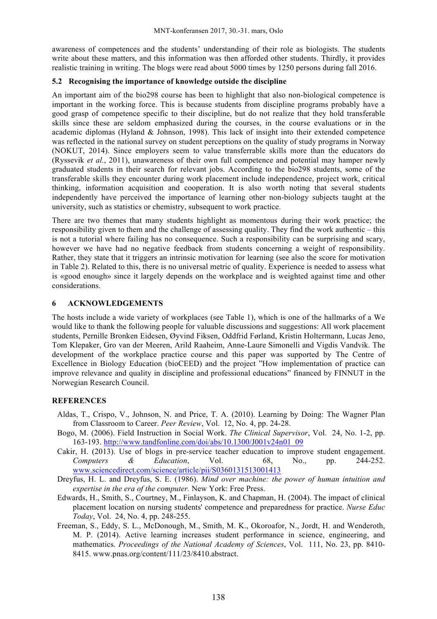awareness of competences and the students' understanding of their role as biologists. The students write about these matters, and this information was then afforded other students. Thirdly, it provides realistic training in writing. The blogs were read about 5000 times by 1250 persons during fall 2016.

#### **5.2 Recognising the importance of knowledge outside the discipline**

An important aim of the bio298 course has been to highlight that also non-biological competence is important in the working force. This is because students from discipline programs probably have a good grasp of competence specific to their discipline, but do not realize that they hold transferable skills since these are seldom emphasized during the courses, in the course evaluations or in the academic diplomas (Hyland & Johnson, 1998). This lack of insight into their extended competence was reflected in the national survey on student perceptions on the quality of study programs in Norway (NOKUT, 2014). Since employers seem to value transferrable skills more than the educators do (Ryssevik *et al.*, 2011), unawareness of their own full competence and potential may hamper newly graduated students in their search for relevant jobs. According to the bio298 students, some of the transferable skills they encounter during work placement include independence, project work, critical thinking, information acquisition and cooperation. It is also worth noting that several students independently have perceived the importance of learning other non-biology subjects taught at the university, such as statistics or chemistry, subsequent to work practice.

There are two themes that many students highlight as momentous during their work practice; the responsibility given to them and the challenge of assessing quality. They find the work authentic – this is not a tutorial where failing has no consequence. Such a responsibility can be surprising and scary, however we have had no negative feedback from students concerning a weight of responsibility. Rather, they state that it triggers an intrinsic motivation for learning (see also the score for motivation in Table 2). Related to this, there is no universal metric of quality. Experience is needed to assess what is «good enough» since it largely depends on the workplace and is weighted against time and other considerations.

# **6 ACKNOWLEDGEMENTS**

The hosts include a wide variety of workplaces (see Table 1), which is one of the hallmarks of a We would like to thank the following people for valuable discussions and suggestions: All work placement students, Pernille Bronken Eidesen, Øyvind Fiksen, Oddfrid Førland, Kristin Holtermann, Lucas Jeno, Tom Klepaker, Gro van der Meeren, Arild Raaheim, Anne-Laure Simonelli and Vigdis Vandvik. The development of the workplace practice course and this paper was supported by The Centre of Excellence in Biology Education (bioCEED) and the project "How implementation of practice can improve relevance and quality in discipline and professional educations" financed by FINNUT in the Norwegian Research Council.

# **REFERENCES**

- Aldas, T., Crispo, V., Johnson, N. and Price, T. A. (2010). Learning by Doing: The Wagner Plan from Classroom to Career. *Peer Review*, Vol. 12, No. 4, pp. 24-28.
- Bogo, M. (2006). Field Instruction in Social Work. *The Clinical Supervisor*, Vol. 24, No. 1-2, pp. 163-193. http://www.tandfonline.com/doi/abs/10.1300/J001v24n01\_09
- Cakir, H. (2013). Use of blogs in pre-service teacher education to improve student engagement. *Computers & Education*, Vol. 68, No., pp. 244-252. www.sciencedirect.com/science/article/pii/S0360131513001413
- Dreyfus, H. L. and Dreyfus, S. E. (1986). *Mind over machine: the power of human intuition and expertise in the era of the computer.* New York: Free Press.
- Edwards, H., Smith, S., Courtney, M., Finlayson, K. and Chapman, H. (2004). The impact of clinical placement location on nursing students' competence and preparedness for practice. *Nurse Educ Today*, Vol. 24, No. 4, pp. 248-255.
- Freeman, S., Eddy, S. L., McDonough, M., Smith, M. K., Okoroafor, N., Jordt, H. and Wenderoth, M. P. (2014). Active learning increases student performance in science, engineering, and mathematics. *Proceedings of the National Academy of Sciences*, Vol. 111, No. 23, pp. 8410- 8415. www.pnas.org/content/111/23/8410.abstract.